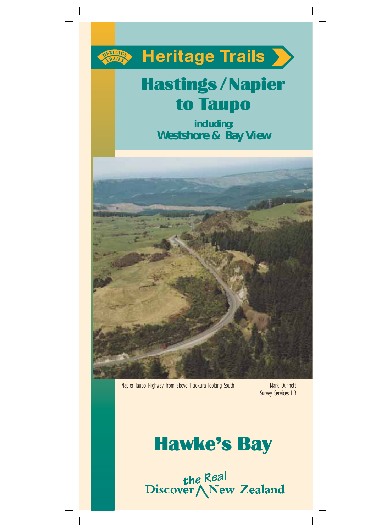

**Heritage Trails >>** 

# Hastings/Napier to Taupo

**including: Westshore & Bay View**



Napier-Taupo Highway from above Titiokura looking South Mark Dunnett

Survey Services HB



the Real<br>Discover \New Zealand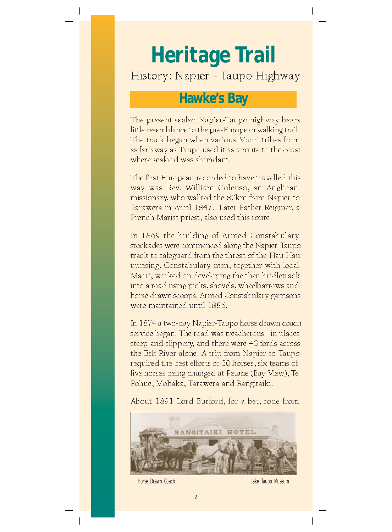# **Heritage Trail**

# History: Napier - Taupo Highway

# **Hawke's Bay**

The present sealed Napier-Taupo highway bears little resemblance to the pre-European walking trail. The track began when various Maori tribes from as far away as Taupo used it as a route to the coast where seafood was abundant.

The first European recorded to have travelled this way was Rev. William Colenso, an Anglican missionary, who walked the 80km from Napier to Tarawera in April 1847. Later Father Reignier, a French Marist priest, also used this route.

In 1869 the building of Armed Constabulary stockades were commenced along the Napier-Taupo track to safeguard from the threat of the Hau Hau uprising. Constabulary men, together with local Maori, worked on developing the then bridletrack into a road using picks, shovels, wheelbarrows and horse drawn scoops. Armed Constabulary garrisons were maintained until 1886.

In 1874 a two-day Napier-Taupo horse drawn coach service began. The road was treacherous - in places steep and slippery, and there were 43 fords across the Esk River alone. A trip from Napier to Taupo required the best efforts of 30 horses, six teams of five horses being changed at Petane (Bay View), Te Pohue, Mohaka, Tarawera and Rangitaiki.

About 1891 Lord Burford, for a bet, rode from



Horse Drawn Coach **Lake Taupo Museum**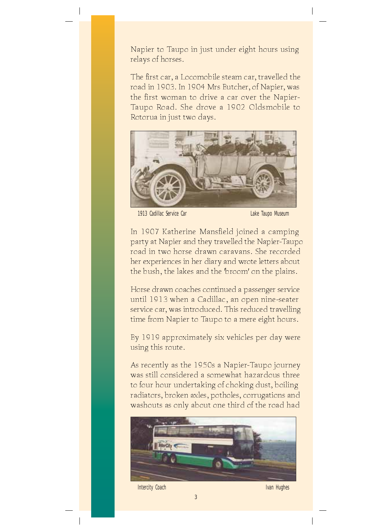Napier to Taupo in just under eight hours using relays of horses.

The first car, a Locomobile steam car, travelled the road in 1903. In 1904 Mrs Butcher, of Napier, was the first woman to drive a car over the Napier-Taupo Road. She drove a 1902 Oldsmobile to Rotorua in just two days.



1913 Cadillac Service Car Lake Taupo Museum

In 1907 Katherine Mansfield joined a camping party at Napier and they travelled the Napier-Taupo road in two horse drawn caravans. She recorded her experiences in her diary and wrote letters about the bush, the lakes and the 'broom' on the plains.

Horse drawn coaches continued a passenger service until 1913 when a Cadillac, an open nine-seater service car, was introduced. This reduced travelling time from Napier to Taupo to a mere eight hours.

By 1919 approximately six vehicles per day were using this route.

As recently as the 1950s a Napier-Taupo journey was still considered a somewhat hazardous three to four hour undertaking of choking dust, boiling radiators, broken axles, potholes, corrugations and washouts as only about one third of the road had



Intercity Coach **Ivan Hughes**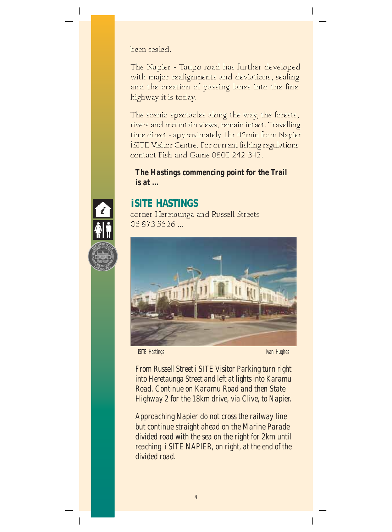been sealed.

The Napier - Taupo road has further developed with major realignments and deviations, sealing and the creation of passing lanes into the fine highway it is today.

The scenic spectacles along the way, the forests, rivers and mountain views, remain intact. Travelling time direct - approximately 1hr 45min from Napier *i*SITE Visitor Centre. For current fishing regulations contact Fish and Game 0800 242 342.

#### *The Hastings commencing point for the Trail is at ...*

# *i***SITE HASTINGS**

corner Heretaunga and Russell Streets 06 873 5526 ...



*i***SITE** Hastings **Ivan Hughes** Ivan Hughes

*From Russell Street i SITE Visitor Parking turn right into Heretaunga Street and left at lights into Karamu Road. Continue on Karamu Road and then State Highway 2 for the 18km drive, via Clive, to Napier.*

*Approaching Napier do not cross the railway line but continue straight ahead on the Marine Parade divided road with the sea on the right for 2km until reaching i SITE NAPIER, on right, at the end of the divided road.*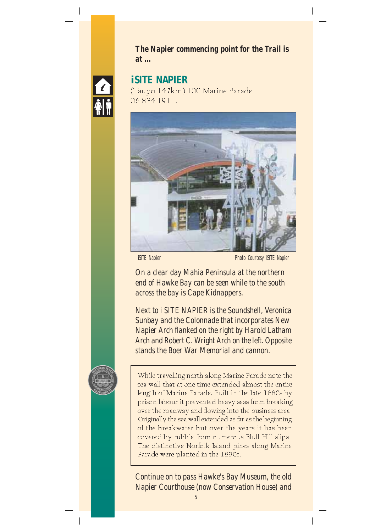



#### *i***SITE NAPIER**

(Taupo 147km) 100 Marine Parade 06 834 1911.



*i*SITE Napier *i*SITE Napier **Photo Courtesy** *i***SITE Napier** 

*On a clear day Mahia Peninsula at the northern end of Hawke Bay can be seen while to the south across the bay is Cape Kidnappers.*

*Next to i SITE NAPIER is the Soundshell, Veronica Sunbay and the Colonnade that incorporates New Napier Arch flanked on the right by Harold Latham Arch and Robert C. Wright Arch on the left. Opposite stands the Boer War Memorial and cannon.*



While travelling north along Marine Parade note the sea wall that at one time extended almost the entire length of Marine Parade. Built in the late 1880s by prison labour it prevented heavy seas from breaking over the roadway and flowing into the business area. Originally the sea wall extended as far as the beginning of the breakwater but over the years it has been covered by rubble from numerous Bluff Hill slips. The distinctive Norfolk Island pines along Marine Parade were planted in the 1890s.

*Continue on to pass Hawke's Bay Museum, the old Napier Courthouse (now Conservation House) and*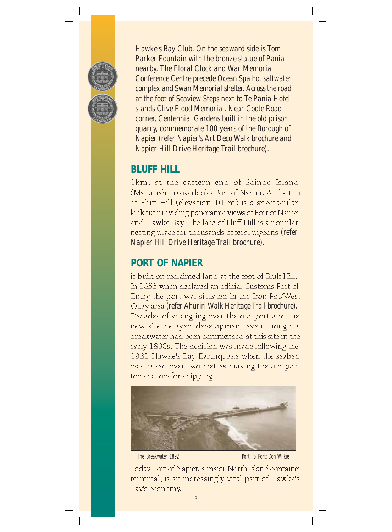

*Hawke's Bay Club. On the seaward side is Tom Parker Fountain with the bronze statue of Pania nearby. The Floral Clock and War Memorial Conference Centre precede Ocean Spa hot saltwater complex and Swan Memorial shelter. Across the road at the foot of Seaview Steps next to Te Pania Hotel stands Clive Flood Memorial. Near Coote Road corner, Centennial Gardens built in the old prison quarry, commemorate 100 years of the Borough of Napier (refer Napier's Art Deco Walk brochure and Napier Hill Drive Heritage Trail brochure).*

### **BLUFF HILL**

1km, at the eastern end of Scinde Island (Mataruahou) overlooks Port of Napier. At the top of Bluff Hill (elevation 101m) is a spectacular lookout providing panoramic views of Port of Napier and Hawke Bay. The face of Bluff Hill is a popular nesting place for thousands of feral pigeons *(refer Napier Hill Drive Heritage Trail brochure).*

# **PORT OF NAPIER**

is built on reclaimed land at the foot of Bluff Hill. In 1855 when declared an official Customs Port of Entry the port was situated in the Iron Pot/West Quay area *(refer Ahuriri Walk Heritage Trail brochure).* Decades of wrangling over the old port and the new site delayed development even though a breakwater had been commenced at this site in the early 1890s. The decision was made following the 1931 Hawke's Bay Earthquake when the seabed was raised over two metres making the old port too shallow for shipping.



The Breakwater 1892 **Port To Port: Don Wilkie** 

Today Port of Napier, a major North Island container terminal, is an increasingly vital part of Hawke's Bay's economy.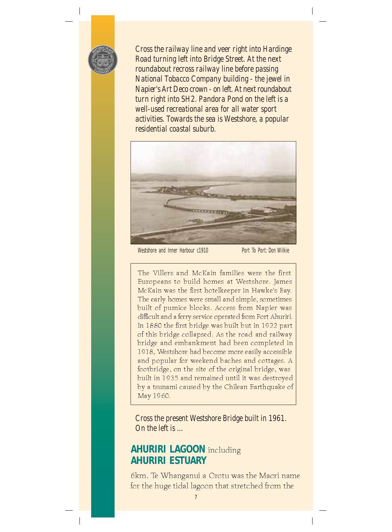

*Cross the railway line and veer right into Hardinge Road turning left into Bridge Street. At the next roundabout recross railway line before passing National Tobacco Company building - the jewel in Napier's Art Deco crown - on left. At next roundabout turn right into SH2. Pandora Pond on the left is a well-used recreational area for all water sport activities. Towards the sea is Westshore, a popular residential coastal suburb.*



Westshore and Inner Harbour c1910 Port To Port: Don Wilkie

The Villers and McKain families were the first Europeans to build homes at Westshore. James McKain was the first hotelkeeper in Hawke's Bay. The early homes were small and simple, sometimes built of pumice blocks. Access from Napier was difficult and a ferry service operated from Port Ahuriri. In 1880 the first bridge was built but in 1922 part of this bridge collapsed. As the road and railway bridge and embankment had been completed in 1918, Westshore had become more easily accessible and popular for weekend baches and cottages. A footbridge, on the site of the original bridge, was built in 1935 and remained until it was destroyed by a tsunami caused by the Chilean Earthquake of May 1960.

*Cross the present Westshore Bridge built in 1961. On the left is ...*

#### **AHURIRI LAGOON** including **AHURIRI ESTUARY**

6km. Te Whanganui a Orotu was the Maori name for the huge tidal lagoon that stretched from the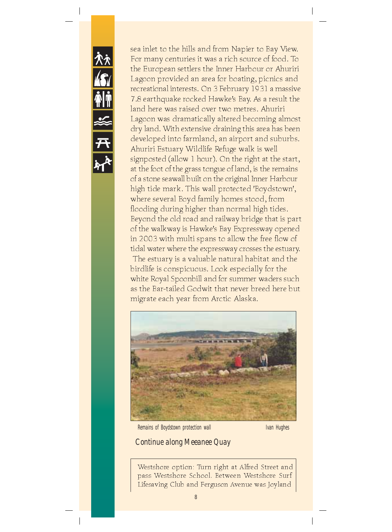

sea inlet to the hills and from Napier to Bay View. For many centuries it was a rich source of food. To the European settlers the Inner Harbour or Ahuriri Lagoon provided an area for boating, picnics and recreational interests. On 3 February 1931 a massive 7.8 earthquake rocked Hawke's Bay. As a result the land here was raised over two metres. Ahuriri Lagoon was dramatically altered becoming almost dry land. With extensive draining this area has been developed into farmland, an airport and suburbs. Ahuriri Estuary Wildlife Refuge walk is well signposted (allow 1 hour). On the right at the start, at the foot of the grass tongue of land, is the remains of a stone seawall built on the original Inner Harbour high tide mark. This wall protected 'Boydstown', where several Boyd family homes stood, from flooding during higher than normal high tides. Beyond the old road and railway bridge that is part of the walkway is Hawke's Bay Expressway opened in 2003 with multi spans to allow the free flow of tidal water where the expressway crosses the estuary. The estuary is a valuable natural habitat and the birdlife is conspicuous. Look especially for the white Royal Spoonbill and for summer waders such as the Bar-tailed Godwit that never breed here but migrate each year from Arctic Alaska.



Remains of Boydstown protection wall

#### *Continue along Meeanee Quay*

Westshore option: Turn right at Alfred Street and pass Westshore School. Between Westshore Surf Lifesaving Club and Ferguson Avenue was Joyland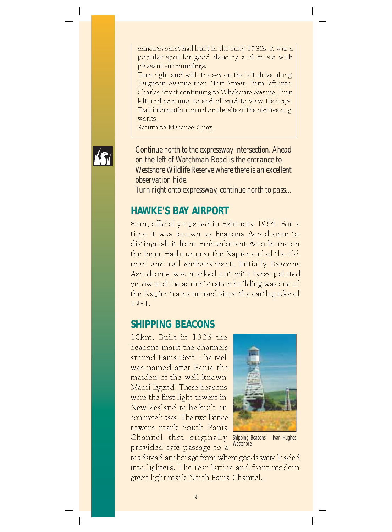dance/cabaret hall built in the early 1930s. It was a popular spot for good dancing and music with pleasant surroundings.

Turn right and with the sea on the left drive along Ferguson Avenue then Nott Street. Turn left into Charles Street continuing to Whakarire Avenue. Turn left and continue to end of road to view Heritage Trail information board on the site of the old freezing works.

Return to Meeanee Quay.



*Continue north to the expressway intersection. Ahead on the left of Watchman Road is the entrance to Westshore Wildlife Reserve where there is an excellent observation hide.*

*Turn right onto expressway, continue north to pass...*

#### **HAWKE'S BAY AIRPORT**

8km, officially opened in February 1964. For a time it was known as Beacons Aerodrome to distinguish it from Embankment Aerodrome on the Inner Harbour near the Napier end of the old road and rail embankment. Initially Beacons Aerodrome was marked out with tyres painted yellow and the administration building was one of the Napier trams unused since the earthquake of 1931.

#### **SHIPPING BEACONS**

10km. Built in 1906 the beacons mark the channels around Pania Reef. The reef was named after Pania the maiden of the well-known Maori legend. These beacons were the first light towers in New Zealand to be built on concrete bases. The two lattice towers mark South Pania Channel that originally Shipping Beacons Ivan Hughes provided safe passage to a



**Westshore** 

roadstead anchorage from where goods were loaded into lighters. The rear lattice and front modern green light mark North Pania Channel.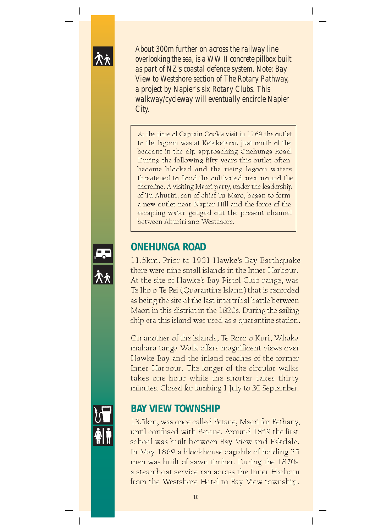

*About 300m further on across the railway line overlooking the sea, is a WW II concrete pillbox built as part of NZ's coastal defence system. Note: Bay View to Westshore section of The Rotary Pathway, a project by Napier's six Rotary Clubs. This walkway/cycleway will eventually encircle Napier City.*

At the time of Captain Cook's visit in 1769 the outlet to the lagoon was at Keteketerau just north of the beacons in the dip approaching Onehunga Road. During the following fifty years this outlet often became blocked and the rising lagoon waters threatened to flood the cultivated area around the shoreline. A visiting Maori party, under the leadership of Tu Ahuriri, son of chief Tu Maro, began to form a new outlet near Napier Hill and the force of the escaping water gouged out the present channel between Ahuriri and Westshore.



#### **ONEHUNGA ROAD**

11.5km. Prior to 1931 Hawke's Bay Earthquake there were nine small islands in the Inner Harbour. At the site of Hawke's Bay Pistol Club range, was Te Iho o Te Rei (Quarantine Island) that is recorded as being the site of the last intertribal battle between Maori in this district in the 1820s. During the sailing ship era this island was used as a quarantine station.

On another of the islands, Te Roro o Kuri, Whaka mahara tanga Walk offers magnificent views over Hawke Bay and the inland reaches of the former Inner Harbour. The longer of the circular walks takes one hour while the shorter takes thirty minutes. Closed for lambing 1 July to 30 September.

#### **BAY VIEW TOWNSHIP**

13.5km, was once called Petane, Maori for Bethany, until confused with Petone. Around 1859 the first school was built between Bay View and Eskdale. In May 1869 a blockhouse capable of holding 25 men was built of sawn timber. During the 1870s a steamboat service ran across the Inner Harbour from the Westshore Hotel to Bay View township.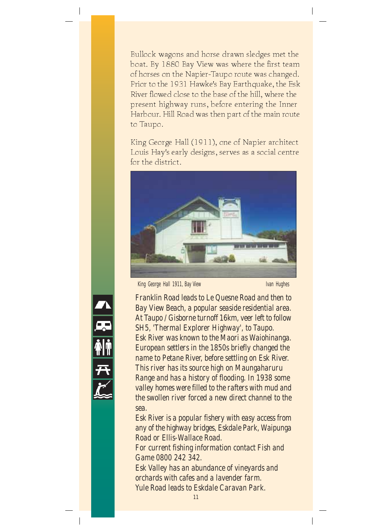Bullock wagons and horse drawn sledges met the boat. By 1880 Bay View was where the first team of horses on the Napier-Taupo route was changed. Prior to the 1931 Hawke's Bay Earthquake, the Esk River flowed close to the base of the hill, where the present highway runs, before entering the Inner Harbour. Hill Road was then part of the main route to Taupo.

King George Hall (1911), one of Napier architect Louis Hay's early designs, serves as a social centre for the district.



King George Hall 1911, Bay View Ivan Hughes Ivan Hughes



*Franklin Road leads to Le Quesne Road and then to Bay View Beach, a popular seaside residential area. At Taupo / Gisborne turnoff 16km, veer left to follow SH5, 'Thermal Explorer Highway', to Taupo. Esk River was known to the Maori as Waiohinanga. European settlers in the 1850s briefly changed the name to Petane River, before settling on Esk River. This river has its source high on Maungaharuru Range and has a history of flooding. In 1938 some valley homes were filled to the rafters with mud and the swollen river forced a new direct channel to the sea.*

*Esk River is a popular fishery with easy access from any of the highway bridges, Eskdale Park, Waipunga Road or Ellis-Wallace Road.*

*For current fishing information contact Fish and Game 0800 242 342.*

*Esk Valley has an abundance of vineyards and orchards with cafes and a lavender farm. Yule Road leads to Eskdale Caravan Park.*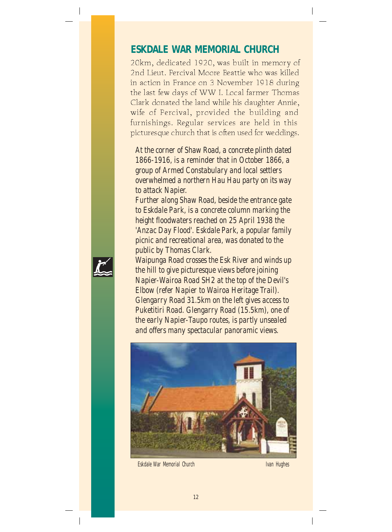#### **ESKDALE WAR MEMORIAL CHURCH**

20km, dedicated 1920, was built in memory of 2nd Lieut. Percival Moore Beattie who was killed in action in France on 3 November 1918 during the last few days of WW I. Local farmer Thomas Clark donated the land while his daughter Annie, wife of Percival, provided the building and furnishings. Regular services are held in this picturesque church that is often used for weddings.

*At the corner of Shaw Road, a concrete plinth dated 1866-1916, is a reminder that in October 1866, a group of Armed Constabulary and local settlers overwhelmed a northern Hau Hau party on its way to attack Napier.*

*Further along Shaw Road, beside the entrance gate to Eskdale Park, is a concrete column marking the height floodwaters reached on 25 April 1938 the 'Anzac Day Flood'. Eskdale Park, a popular family picnic and recreational area, was donated to the public by Thomas Clark.*

*Waipunga Road crosses the Esk River and winds up the hill to give picturesque views before joining Napier-Wairoa Road SH2 at the top of the Devil's Elbow (refer Napier to Wairoa Heritage Trail). Glengarry Road 31.5km on the left gives access to Puketitiri Road. Glengarry Road (15.5km), one of the early Napier-Taupo routes, is partly unsealed and offers many spectacular panoramic views.*



Eskdale War Memorial Church Ivan Hughes

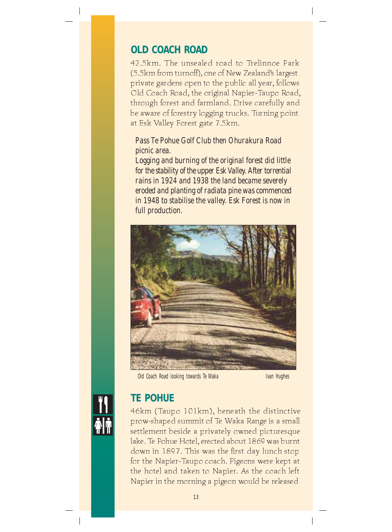### **OLD COACH ROAD**

42.5km. The unsealed road to Trelinnoe Park (5.5km from turnoff), one of New Zealand's largest private gardens open to the public all year, follows Old Coach Road, the original Napier-Taupo Road, through forest and farmland. Drive carefully and be aware of forestry logging trucks. Turning point at Esk Valley Forest gate 7.5km.

#### *Pass Te Pohue Golf Club then Ohurakura Road picnic area.*

*Logging and burning of the original forest did little for the stability of the upper Esk Valley. After torrential rains in 1924 and 1938 the land became severely eroded and planting of radiata pine was commenced in 1948 to stabilise the valley. Esk Forest is now in full production.*



Old Coach Road looking towards Te Waka Ivan Hughes



#### **TE POHUE**

46km (Taupo 101km), beneath the distinctive prow-shaped summit of Te Waka Range is a small settlement beside a privately owned picturesque lake. Te Pohue Hotel, erected about 1869 was burnt down in 1897. This was the first day lunch stop for the Napier-Taupo coach. Pigeons were kept at the hotel and taken to Napier. As the coach left Napier in the morning a pigeon would be released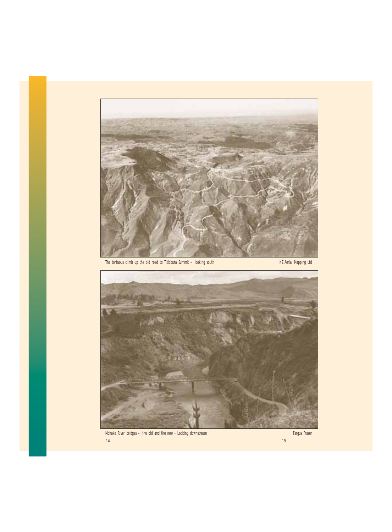

The tortuous climb up the old road to Titiokura Summit – looking south NZ Aerial Mapping Ltd

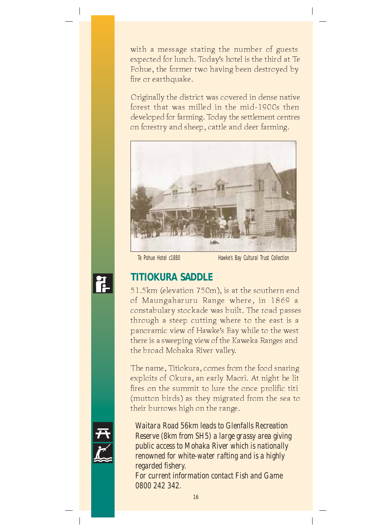with a message stating the number of guests expected for lunch. Today's hotel is the third at Te Pohue, the former two having been destroyed by fire or earthquake.

Originally the district was covered in dense native forest that was milled in the mid-1900s then developed for farming. Today the settlement centres on forestry and sheep, cattle and deer farming.



Te Pohue Hotel c1880 Hawke's Bay Cultural Trust Collection



#### **TITIOKURA SADDLE**

51.5km (elevation 750m), is at the southern end of Maungaharuru Range where, in 1869 a constabulary stockade was built. The road passes through a steep cutting where to the east is a panoramic view of Hawke's Bay while to the west there is a sweeping view of the Kaweka Ranges and the broad Mohaka River valley.

The name, Titiokura, comes from the food snaring exploits of Okura, an early Maori. At night he lit fires on the summit to lure the once prolific titi (mutton birds) as they migrated from the sea to their burrows high on the range.

*Waitara Road 56km leads to Glenfalls Recreation Reserve (8km from SH5) a large grassy area giving public access to Mohaka River which is nationally renowned for white-water rafting and is a highly regarded fishery. For current information contact Fish and Game*

*0800 242 342.*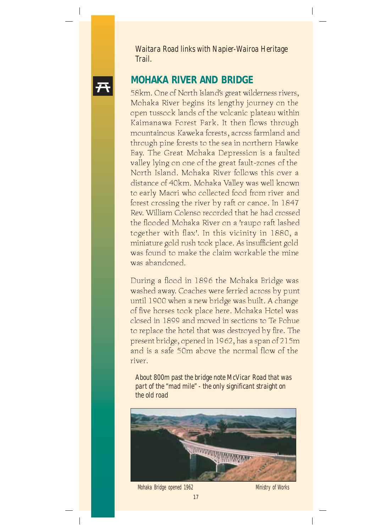



58km. One of North Island's great wilderness rivers, Mohaka River begins its lengthy journey on the open tussock lands of the volcanic plateau within Kaimanawa Forest Park. It then flows through mountainous Kaweka forests, across farmland and through pine forests to the sea in northern Hawke Bay. The Great Mohaka Depression is a faulted valley lying on one of the great fault-zones of the North Island. Mohaka River follows this over a distance of 40km. Mohaka Valley was well known to early Maori who collected food from river and forest crossing the river by raft or canoe. In 1847 Rev. William Colenso recorded that he had crossed the flooded Mohaka River on a 'raupo raft lashed together with flax'. In this vicinity in 1880, a miniature gold rush took place. As insufficient gold was found to make the claim workable the mine was abandoned.

During a flood in 1896 the Mohaka Bridge was washed away. Coaches were ferried across by punt until 1900 when a new bridge was built. A change of five horses took place here. Mohaka Hotel was closed in 1899 and moved in sections to Te Pohue to replace the hotel that was destroyed by fire. The present bridge, opened in 1962, has a span of 215m and is a safe 50m above the normal flow of the river.

*About 800m past the bridge note McVicar Road that was part of the "mad mile" - the only significant straight on the old road*



Mohaka Bridge opened 1962 Ministry of Works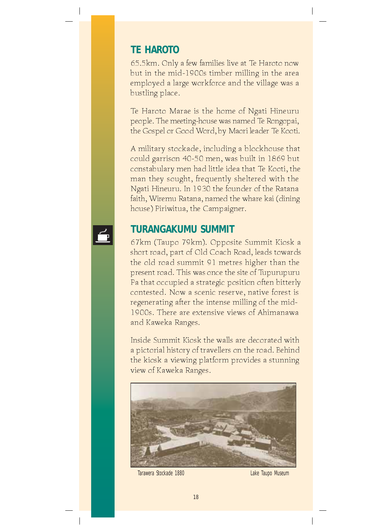#### **TE HAROTO**

65.5km. Only a few families live at Te Haroto now but in the mid-1900s timber milling in the area employed a large workforce and the village was a bustling place.

Te Haroto Marae is the home of Ngati Hineuru people. The meeting-house was named Te Rongopai, the Gospel or Good Word, by Maori leader Te Kooti.

A military stockade, including a blockhouse that could garrison 40-50 men, was built in 1869 but constabulary men had little idea that Te Kooti, the man they sought, frequently sheltered with the Ngati Hineuru. In 1930 the founder of the Ratana faith, Wiremu Ratana, named the whare kai (dining house) Piriwitua, the Campaigner.

#### **TURANGAKUMU SUMMIT**

67km (Taupo 79km). Opposite Summit Kiosk a short road, part of Old Coach Road, leads towards the old road summit 91 metres higher than the present road. This was once the site of Tupurupuru Pa that occupied a strategic position often bitterly contested. Now a scenic reserve, native forest is regenerating after the intense milling of the mid-1900s. There are extensive views of Ahimanawa and Kaweka Ranges.

Inside Summit Kiosk the walls are decorated with a pictorial history of travellers on the road. Behind the kiosk a viewing platform provides a stunning view of Kaweka Ranges.



Tarawera Stockade 1880 **Lake Taupo Museum**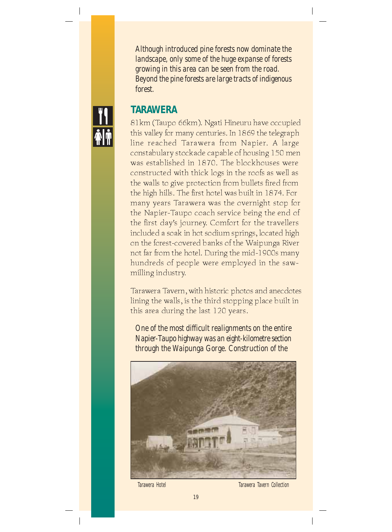*Although introduced pine forests now dominate the landscape, only some of the huge expanse of forests growing in this area can be seen from the road. Beyond the pine forests are large tracts of indigenous forest.*



### **TARAWERA**

81km (Taupo 66km). Ngati Hineuru have occupied this valley for many centuries. In 1869 the telegraph line reached Tarawera from Napier. A large constabulary stockade capable of housing 150 men was established in 1870. The blockhouses were constructed with thick logs in the roofs as well as the walls to give protection from bullets fired from the high hills. The first hotel was built in 1874. For many years Tarawera was the overnight stop for the Napier-Taupo coach service being the end of the first day's journey. Comfort for the travellers included a soak in hot sodium springs, located high on the forest-covered banks of the Waipunga River not far from the hotel. During the mid-1900s many hundreds of people were employed in the sawmilling industry.

Tarawera Tavern, with historic photos and anecdotes lining the walls, is the third stopping place built in this area during the last 120 years.

*One of the most difficult realignments on the entire Napier-Taupo highway was an eight-kilometre section through the Waipunga Gorge. Construction of the*



Tarawera Hotel Tarawera Tavern Collection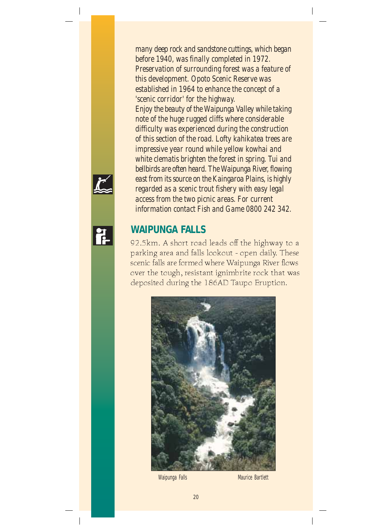*many deep rock and sandstone cuttings, which began before 1940, was finally completed in 1972. Preservation of surrounding forest was a feature of this development. Opoto Scenic Reserve was established in 1964 to enhance the concept of a 'scenic corridor' for the highway. Enjoy the beauty of the Waipunga Valley while taking note of the huge rugged cliffs where considerable difficulty was experienced during the construction of this section of the road. Lofty kahikatea trees are impressive year round while yellow kowhai and white clematis brighten the forest in spring. Tui and bellbirds are often heard. The Waipunga River, flowing east from its source on the Kaingaroa Plains, is highly regarded as a scenic trout fishery with easy legal access from the two picnic areas. For current information contact Fish and Game 0800 242 342.*

#### **WAIPUNGA FALLS**

92.5km. A short road leads off the highway to a parking area and falls lookout - open daily. These scenic falls are formed where Waipunga River flows over the tough, resistant ignimbrite rock that was deposited during the 186AD Taupo Eruption.



Waipunga Falls Maurice Bartlett



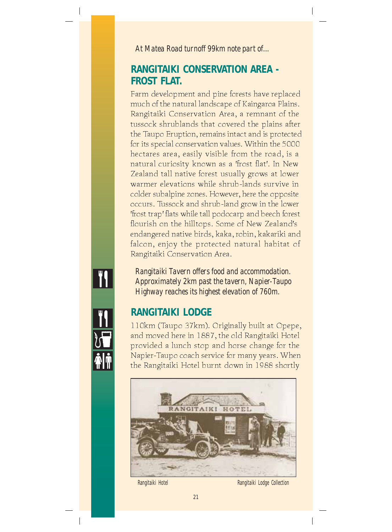*At Matea Road turnoff 99km note part of...*

#### **RANGITAIKI CONSERVATION AREA - FROST FLAT.**

Farm development and pine forests have replaced much of the natural landscape of Kaingaroa Plains. Rangitaiki Conservation Area, a remnant of the tussock shrublands that covered the plains after the Taupo Eruption, remains intact and is protected for its special conservation values. Within the 5000 hectares area, easily visible from the road, is a natural curiosity known as a 'frost flat'. In New Zealand tall native forest usually grows at lower warmer elevations while shrub-lands survive in colder subalpine zones. However, here the opposite occurs. Tussock and shrub-land grow in the lower 'frost trap' flats while tall podocarp and beech forest flourish on the hilltops. Some of New Zealand's endangered native birds, kaka, robin, kakariki and falcon, enjoy the protected natural habitat of Rangitaiki Conservation Area.

*Rangitaiki Tavern offers food and accommodation. Approximately 2km past the tavern, Napier-Taupo Highway reaches its highest elevation of 760m.*

## **RANGITAIKI LODGE**

110km (Taupo 37km). Originally built at Opepe, and moved here in 1887, the old Rangitaiki Hotel provided a lunch stop and horse change for the Napier-Taupo coach service for many years. When the Rangitaiki Hotel burnt down in 1988 shortly



Rangitaiki Hotel Rangitaiki Lodge Collection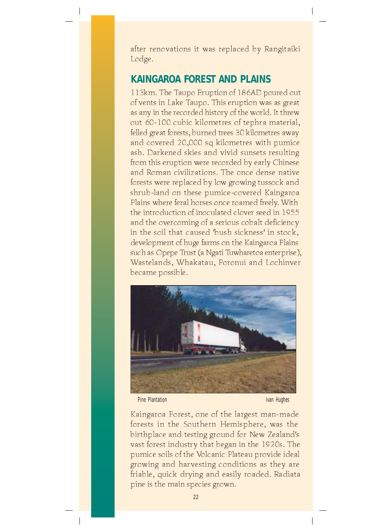after renovations it was replaced by Rangitaiki Lodge.

## **KAINGAROA FOREST AND PLAINS**

113km. The Taupo Eruption of 186AD poured out of vents in Lake Taupo. This eruption was as great as any in the recorded history of the world. It threw out 60-100 cubic kilometres of tephra material, felled great forests, burned trees 30 kilometres away and covered 20,000 sq kilometres with pumice ash. Darkened skies and vivid sunsets resulting from this eruption were recorded by early Chinese and Roman civilizations. The once dense native forests were replaced by low growing tussock and shrub-land on these pumice-covered Kaingaroa Plains where feral horses once roamed freely. With the introduction of inoculated clover seed in 1955 and the overcoming of a serious cobalt deficiency in the soil that caused 'bush sickness' in stock, development of huge farms on the Kaingaroa Plains such as Opepe Trust (a Ngati Tuwharetoa enterprise), Wastelands, Whakatau, Poronui and Lochinver became possible.



Pine Plantation **Ivan Hughes** 

Kaingaroa Forest, one of the largest man-made forests in the Southern Hemisphere, was the birthplace and testing ground for New Zealand's vast forest industry that began in the 1920s. The pumice soils of the Volcanic Plateau provide ideal growing and harvesting conditions as they are friable, quick drying and easily roaded. Radiata pine is the main species grown.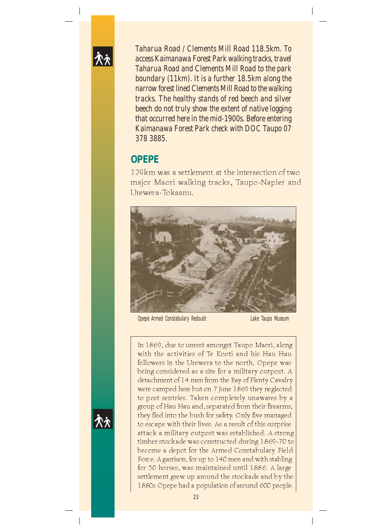

*Taharua Road / Clements Mill Road 118.5km. To access Kaimanawa Forest Park walking tracks, travel Taharua Road and Clements Mill Road to the park boundary (11km). It is a further 18.5km along the narrow forest lined Clements Mill Road to the walking tracks. The healthy stands of red beech and silver beech do not truly show the extent of native logging that occurred here in the mid-1900s. Before entering Kaimanawa Forest Park check with DOC Taupo 07 378 3885.*

#### **OPEPE**

129km was a settlement at the intersection of two major Maori walking tracks, Taupo-Napier and Urewera-Tokaanu.



Opepe Armed Constabulary Redoubt Lake Taupo Museum

In 1869, due to unrest amongst Taupo Maori, along with the activities of Te Kooti and his Hau Hau followers in the Urewera to the north, Opepe was being considered as a site for a military outpost. A detachment of 14 men from the Bay of Plenty Cavalry were camped here but on 7 June 1869 they neglected to post sentries. Taken completely unawares by a group of Hau Hau and, separated from their firearms, they fled into the bush for safety. Only five managed to escape with their lives. As a result of this surprise attack a military outpost was established. A strong timber stockade was constructed during 1869-70 to become a depot for the Armed Constabulary Field Force. A garrison, for up to 140 men and with stabling for 50 horses, was maintained until 1886. A large settlement grew up around the stockade and by the 1880s Opepe had a population of around 600 people.

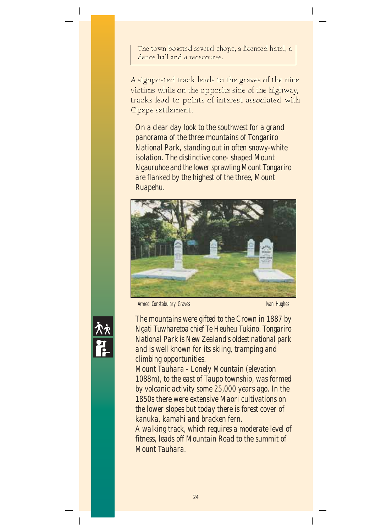The town boasted several shops, a licensed hotel, a dance hall and a racecourse.

A signposted track leads to the graves of the nine victims while on the opposite side of the highway, tracks lead to points of interest associated with Opepe settlement.

*On a clear day look to the southwest for a grand panorama of the three mountains of Tongariro National Park, standing out in often snowy-white isolation. The distinctive cone- shaped Mount Ngauruhoe and the lower sprawling Mount Tongariro are flanked by the highest of the three, Mount Ruapehu.*



Armed Constabulary Graves **Ivan Hughes** Ivan Hughes

*The mountains were gifted to the Crown in 1887 by Ngati Tuwharetoa chief Te Heuheu Tukino. Tongariro National Park is New Zealand's oldest national park and is well known for its skiing, tramping and climbing opportunities.*

*Mount Tauhara - Lonely Mountain (elevation 1088m), to the east of Taupo township, was formed by volcanic activity some 25,000 years ago. In the 1850s there were extensive Maori cultivations on the lower slopes but today there is forest cover of kanuka, kamahi and bracken fern.*

*A walking track, which requires a moderate level of fitness, leads off Mountain Road to the summit of Mount Tauhara.*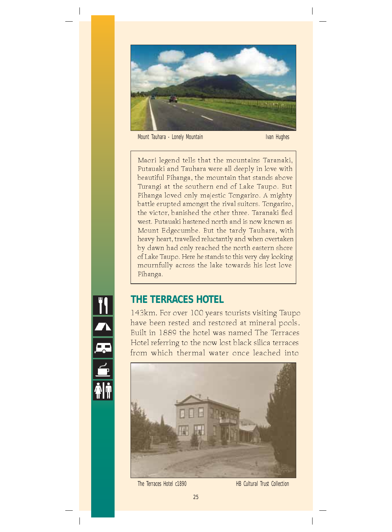

Mount Tauhara - Lonely Mountain Ivan Hughes

Maori legend tells that the mountains Taranaki, Putauaki and Tauhara were all deeply in love with beautiful Pihanga, the mountain that stands above Turangi at the southern end of Lake Taupo. But Pihanga loved only majestic Tongariro. A mighty battle erupted amongst the rival suitors. Tongariro, the victor, banished the other three. Taranaki fled west. Putauaki hastened north and is now known as Mount Edgecumbe. But the tardy Tauhara, with heavy heart, travelled reluctantly and when overtaken by dawn had only reached the north eastern shore of Lake Taupo. Here he stands to this very day looking mournfully across the lake towards his lost love Pihanga.

#### **THE TERRACES HOTEL**

143km. For over 100 years tourists visiting Taupo have been rested and restored at mineral pools. Built in 1889 the hotel was named The Terraces Hotel referring to the now lost black silica terraces from which thermal water once leached into



The Terraces Hotel c1890 HB Cultural Trust Collection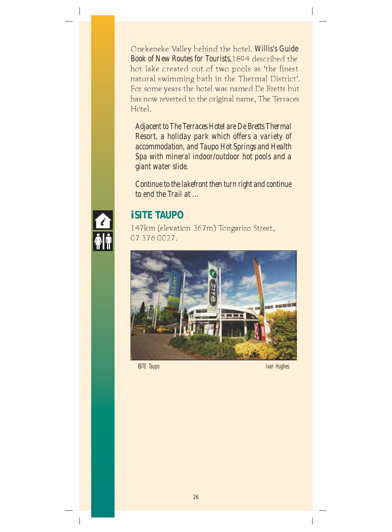Onekeneke Valley behind the hotel. *Willis's Guide Book of New Routes for Tourists,*1894 described the hot lake created out of two pools as 'the finest natural swimming bath in the Thermal District'. For some years the hotel was named De Bretts but has now reverted to the original name, The Terraces Hotel.

*Adjacent to The Terraces Hotel are De Bretts Thermal Resort, a holiday park which offers a variety of accommodation, and Taupo Hot Springs and Health Spa with mineral indoor/outdoor hot pools and a giant water slide.*

*Continue to the lakefront then turn right and continue to end the Trail at ...*



# *i***SITE TAUPO**

147km (elevation 367m) Tongariro Street, 07 376 0027.



*i*SITE Taupo **Ivan Hughes** Ivan Hughes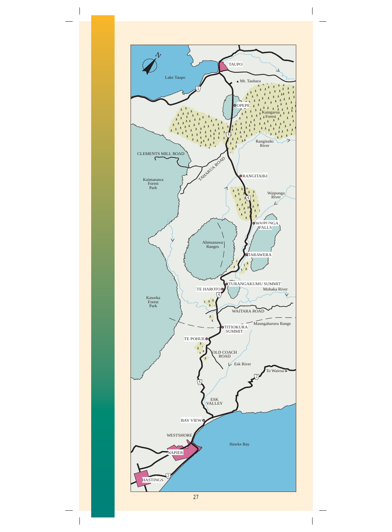